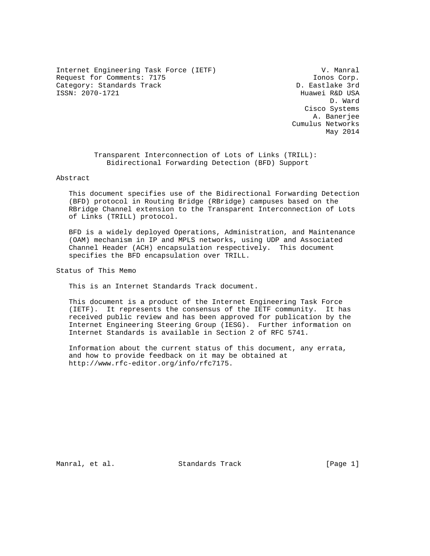Internet Engineering Task Force (IETF) V. Manral Request for Comments: 7175 **Ionos Corp.** Category: Standards Track development of the D. Eastlake 3rd ISSN: 2070-1721 Huawei R&D USA

 D. Ward Cisco Systems A. Banerjee Cumulus Networks May 2014

> Transparent Interconnection of Lots of Links (TRILL): Bidirectional Forwarding Detection (BFD) Support

# Abstract

 This document specifies use of the Bidirectional Forwarding Detection (BFD) protocol in Routing Bridge (RBridge) campuses based on the RBridge Channel extension to the Transparent Interconnection of Lots of Links (TRILL) protocol.

 BFD is a widely deployed Operations, Administration, and Maintenance (OAM) mechanism in IP and MPLS networks, using UDP and Associated Channel Header (ACH) encapsulation respectively. This document specifies the BFD encapsulation over TRILL.

Status of This Memo

This is an Internet Standards Track document.

 This document is a product of the Internet Engineering Task Force (IETF). It represents the consensus of the IETF community. It has received public review and has been approved for publication by the Internet Engineering Steering Group (IESG). Further information on Internet Standards is available in Section 2 of RFC 5741.

 Information about the current status of this document, any errata, and how to provide feedback on it may be obtained at http://www.rfc-editor.org/info/rfc7175.

Manral, et al. Standards Track [Page 1]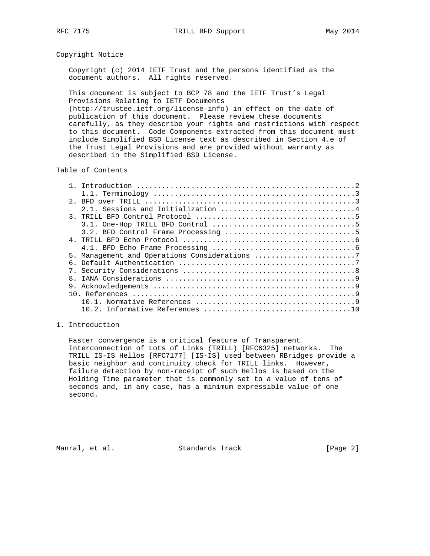# Copyright Notice

 Copyright (c) 2014 IETF Trust and the persons identified as the document authors. All rights reserved.

 This document is subject to BCP 78 and the IETF Trust's Legal Provisions Relating to IETF Documents (http://trustee.ietf.org/license-info) in effect on the date of publication of this document. Please review these documents carefully, as they describe your rights and restrictions with respect to this document. Code Components extracted from this document must include Simplified BSD License text as described in Section 4.e of the Trust Legal Provisions and are provided without warranty as

## Table of Contents

described in the Simplified BSD License.

| $2^{\circ}$                                   |
|-----------------------------------------------|
|                                               |
|                                               |
|                                               |
|                                               |
|                                               |
|                                               |
| 5. Management and Operations Considerations 7 |
|                                               |
|                                               |
| $\mathsf{R}$                                  |
|                                               |
|                                               |
|                                               |
|                                               |

# 1. Introduction

 Faster convergence is a critical feature of Transparent Interconnection of Lots of Links (TRILL) [RFC6325] networks. The TRILL IS-IS Hellos [RFC7177] [IS-IS] used between RBridges provide a basic neighbor and continuity check for TRILL links. However, failure detection by non-receipt of such Hellos is based on the Holding Time parameter that is commonly set to a value of tens of seconds and, in any case, has a minimum expressible value of one second.

Manral, et al. Standards Track [Page 2]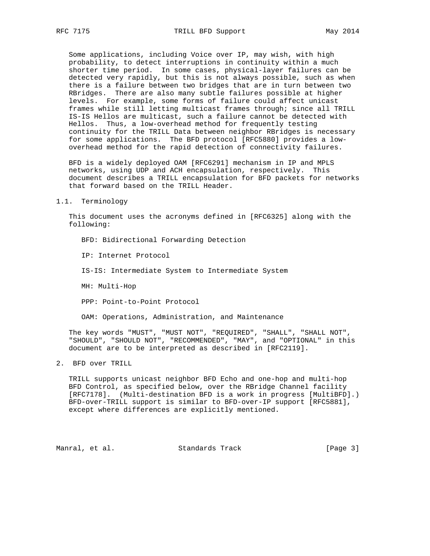Some applications, including Voice over IP, may wish, with high probability, to detect interruptions in continuity within a much shorter time period. In some cases, physical-layer failures can be detected very rapidly, but this is not always possible, such as when there is a failure between two bridges that are in turn between two RBridges. There are also many subtle failures possible at higher levels. For example, some forms of failure could affect unicast frames while still letting multicast frames through; since all TRILL IS-IS Hellos are multicast, such a failure cannot be detected with Hellos. Thus, a low-overhead method for frequently testing continuity for the TRILL Data between neighbor RBridges is necessary for some applications. The BFD protocol [RFC5880] provides a low overhead method for the rapid detection of connectivity failures.

 BFD is a widely deployed OAM [RFC6291] mechanism in IP and MPLS networks, using UDP and ACH encapsulation, respectively. This document describes a TRILL encapsulation for BFD packets for networks that forward based on the TRILL Header.

#### 1.1. Terminology

 This document uses the acronyms defined in [RFC6325] along with the following:

BFD: Bidirectional Forwarding Detection

IP: Internet Protocol

IS-IS: Intermediate System to Intermediate System

MH: Multi-Hop

PPP: Point-to-Point Protocol

OAM: Operations, Administration, and Maintenance

 The key words "MUST", "MUST NOT", "REQUIRED", "SHALL", "SHALL NOT", "SHOULD", "SHOULD NOT", "RECOMMENDED", "MAY", and "OPTIONAL" in this document are to be interpreted as described in [RFC2119].

2. BFD over TRILL

 TRILL supports unicast neighbor BFD Echo and one-hop and multi-hop BFD Control, as specified below, over the RBridge Channel facility [RFC7178]. (Multi-destination BFD is a work in progress [MultiBFD].) BFD-over-TRILL support is similar to BFD-over-IP support [RFC5881], except where differences are explicitly mentioned.

Manral, et al. Standards Track [Page 3]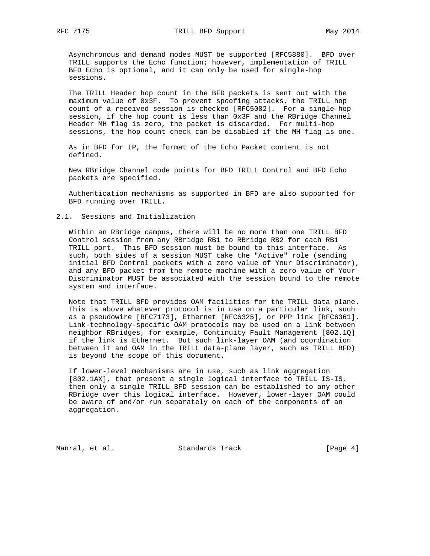Asynchronous and demand modes MUST be supported [RFC5880]. BFD over TRILL supports the Echo function; however, implementation of TRILL BFD Echo is optional, and it can only be used for single-hop sessions.

 The TRILL Header hop count in the BFD packets is sent out with the maximum value of 0x3F. To prevent spoofing attacks, the TRILL hop count of a received session is checked [RFC5082]. For a single-hop session, if the hop count is less than 0x3F and the RBridge Channel Header MH flag is zero, the packet is discarded. For multi-hop sessions, the hop count check can be disabled if the MH flag is one.

 As in BFD for IP, the format of the Echo Packet content is not defined.

 New RBridge Channel code points for BFD TRILL Control and BFD Echo packets are specified.

 Authentication mechanisms as supported in BFD are also supported for BFD running over TRILL.

## 2.1. Sessions and Initialization

 Within an RBridge campus, there will be no more than one TRILL BFD Control session from any RBridge RB1 to RBridge RB2 for each RB1 TRILL port. This BFD session must be bound to this interface. As such, both sides of a session MUST take the "Active" role (sending initial BFD Control packets with a zero value of Your Discriminator), and any BFD packet from the remote machine with a zero value of Your Discriminator MUST be associated with the session bound to the remote system and interface.

 Note that TRILL BFD provides OAM facilities for the TRILL data plane. This is above whatever protocol is in use on a particular link, such as a pseudowire [RFC7173], Ethernet [RFC6325], or PPP link [RFC6361]. Link-technology-specific OAM protocols may be used on a link between neighbor RBridges, for example, Continuity Fault Management [802.1Q] if the link is Ethernet. But such link-layer OAM (and coordination between it and OAM in the TRILL data-plane layer, such as TRILL BFD) is beyond the scope of this document.

 If lower-level mechanisms are in use, such as link aggregation [802.1AX], that present a single logical interface to TRILL IS-IS, then only a single TRILL BFD session can be established to any other RBridge over this logical interface. However, lower-layer OAM could be aware of and/or run separately on each of the components of an aggregation.

Manral, et al. Standards Track [Page 4]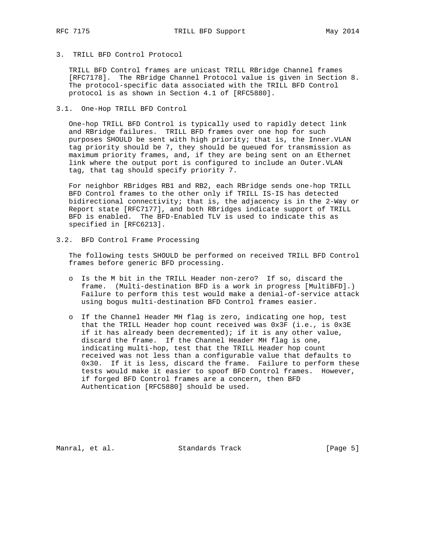3. TRILL BFD Control Protocol

 TRILL BFD Control frames are unicast TRILL RBridge Channel frames [RFC7178]. The RBridge Channel Protocol value is given in Section 8. The protocol-specific data associated with the TRILL BFD Control protocol is as shown in Section 4.1 of [RFC5880].

3.1. One-Hop TRILL BFD Control

 One-hop TRILL BFD Control is typically used to rapidly detect link and RBridge failures. TRILL BFD frames over one hop for such purposes SHOULD be sent with high priority; that is, the Inner.VLAN tag priority should be 7, they should be queued for transmission as maximum priority frames, and, if they are being sent on an Ethernet link where the output port is configured to include an Outer.VLAN tag, that tag should specify priority 7.

 For neighbor RBridges RB1 and RB2, each RBridge sends one-hop TRILL BFD Control frames to the other only if TRILL IS-IS has detected bidirectional connectivity; that is, the adjacency is in the 2-Way or Report state [RFC7177], and both RBridges indicate support of TRILL BFD is enabled. The BFD-Enabled TLV is used to indicate this as specified in [RFC6213].

3.2. BFD Control Frame Processing

 The following tests SHOULD be performed on received TRILL BFD Control frames before generic BFD processing.

- o Is the M bit in the TRILL Header non-zero? If so, discard the frame. (Multi-destination BFD is a work in progress [MultiBFD].) Failure to perform this test would make a denial-of-service attack using bogus multi-destination BFD Control frames easier.
- o If the Channel Header MH flag is zero, indicating one hop, test that the TRILL Header hop count received was 0x3F (i.e., is 0x3E if it has already been decremented); if it is any other value, discard the frame. If the Channel Header MH flag is one, indicating multi-hop, test that the TRILL Header hop count received was not less than a configurable value that defaults to 0x30. If it is less, discard the frame. Failure to perform these tests would make it easier to spoof BFD Control frames. However, if forged BFD Control frames are a concern, then BFD Authentication [RFC5880] should be used.

Manral, et al. Standards Track (Page 5)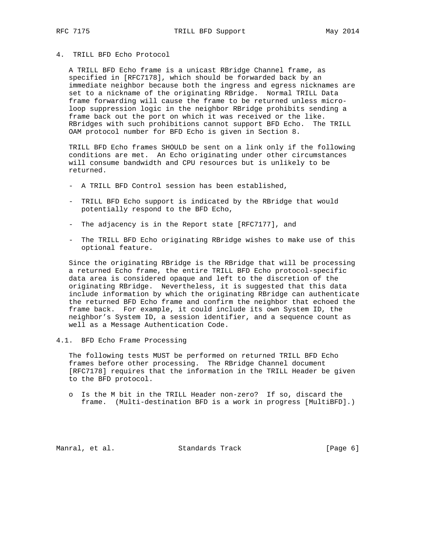4. TRILL BFD Echo Protocol

 A TRILL BFD Echo frame is a unicast RBridge Channel frame, as specified in [RFC7178], which should be forwarded back by an immediate neighbor because both the ingress and egress nicknames are set to a nickname of the originating RBridge. Normal TRILL Data frame forwarding will cause the frame to be returned unless micro loop suppression logic in the neighbor RBridge prohibits sending a frame back out the port on which it was received or the like. RBridges with such prohibitions cannot support BFD Echo. The TRILL OAM protocol number for BFD Echo is given in Section 8.

 TRILL BFD Echo frames SHOULD be sent on a link only if the following conditions are met. An Echo originating under other circumstances will consume bandwidth and CPU resources but is unlikely to be returned.

- A TRILL BFD Control session has been established,
- TRILL BFD Echo support is indicated by the RBridge that would potentially respond to the BFD Echo,
- The adjacency is in the Report state [RFC7177], and
- The TRILL BFD Echo originating RBridge wishes to make use of this optional feature.

 Since the originating RBridge is the RBridge that will be processing a returned Echo frame, the entire TRILL BFD Echo protocol-specific data area is considered opaque and left to the discretion of the originating RBridge. Nevertheless, it is suggested that this data include information by which the originating RBridge can authenticate the returned BFD Echo frame and confirm the neighbor that echoed the frame back. For example, it could include its own System ID, the neighbor's System ID, a session identifier, and a sequence count as well as a Message Authentication Code.

4.1. BFD Echo Frame Processing

 The following tests MUST be performed on returned TRILL BFD Echo frames before other processing. The RBridge Channel document [RFC7178] requires that the information in the TRILL Header be given to the BFD protocol.

 o Is the M bit in the TRILL Header non-zero? If so, discard the frame. (Multi-destination BFD is a work in progress [MultiBFD].)

Manral, et al. Standards Track [Page 6]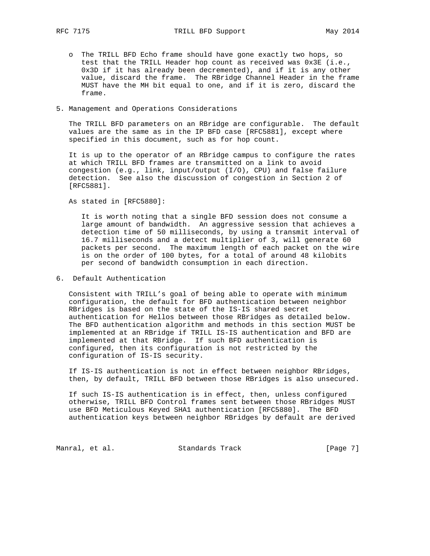o The TRILL BFD Echo frame should have gone exactly two hops, so test that the TRILL Header hop count as received was 0x3E (i.e., 0x3D if it has already been decremented), and if it is any other value, discard the frame. The RBridge Channel Header in the frame MUST have the MH bit equal to one, and if it is zero, discard the frame.

## 5. Management and Operations Considerations

 The TRILL BFD parameters on an RBridge are configurable. The default values are the same as in the IP BFD case [RFC5881], except where specified in this document, such as for hop count.

 It is up to the operator of an RBridge campus to configure the rates at which TRILL BFD frames are transmitted on a link to avoid congestion (e.g., link, input/output (I/O), CPU) and false failure detection. See also the discussion of congestion in Section 2 of [RFC5881].

As stated in [RFC5880]:

 It is worth noting that a single BFD session does not consume a large amount of bandwidth. An aggressive session that achieves a detection time of 50 milliseconds, by using a transmit interval of 16.7 milliseconds and a detect multiplier of 3, will generate 60 packets per second. The maximum length of each packet on the wire is on the order of 100 bytes, for a total of around 48 kilobits per second of bandwidth consumption in each direction.

### 6. Default Authentication

 Consistent with TRILL's goal of being able to operate with minimum configuration, the default for BFD authentication between neighbor RBridges is based on the state of the IS-IS shared secret authentication for Hellos between those RBridges as detailed below. The BFD authentication algorithm and methods in this section MUST be implemented at an RBridge if TRILL IS-IS authentication and BFD are implemented at that RBridge. If such BFD authentication is configured, then its configuration is not restricted by the configuration of IS-IS security.

 If IS-IS authentication is not in effect between neighbor RBridges, then, by default, TRILL BFD between those RBridges is also unsecured.

 If such IS-IS authentication is in effect, then, unless configured otherwise, TRILL BFD Control frames sent between those RBridges MUST use BFD Meticulous Keyed SHA1 authentication [RFC5880]. The BFD authentication keys between neighbor RBridges by default are derived

Manral, et al. Standards Track [Page 7]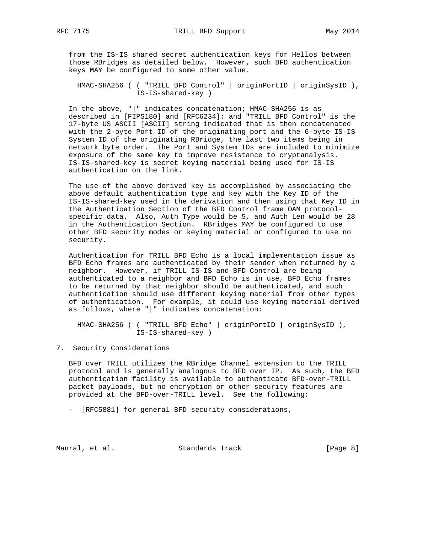from the IS-IS shared secret authentication keys for Hellos between those RBridges as detailed below. However, such BFD authentication keys MAY be configured to some other value.

 HMAC-SHA256 ( ( "TRILL BFD Control" | originPortID | originSysID ), IS-IS-shared-key )

 In the above, "|" indicates concatenation; HMAC-SHA256 is as described in [FIPS180] and [RFC6234]; and "TRILL BFD Control" is the 17-byte US ASCII [ASCII] string indicated that is then concatenated with the 2-byte Port ID of the originating port and the 6-byte IS-IS System ID of the originating RBridge, the last two items being in network byte order. The Port and System IDs are included to minimize exposure of the same key to improve resistance to cryptanalysis. IS-IS-shared-key is secret keying material being used for IS-IS authentication on the link.

 The use of the above derived key is accomplished by associating the above default authentication type and key with the Key ID of the IS-IS-shared-key used in the derivation and then using that Key ID in the Authentication Section of the BFD Control frame OAM protocol specific data. Also, Auth Type would be 5, and Auth Len would be 28 in the Authentication Section. RBridges MAY be configured to use other BFD security modes or keying material or configured to use no security.

 Authentication for TRILL BFD Echo is a local implementation issue as BFD Echo frames are authenticated by their sender when returned by a neighbor. However, if TRILL IS-IS and BFD Control are being authenticated to a neighbor and BFD Echo is in use, BFD Echo frames to be returned by that neighbor should be authenticated, and such authentication should use different keying material from other types of authentication. For example, it could use keying material derived as follows, where "|" indicates concatenation:

 HMAC-SHA256 ( ( "TRILL BFD Echo" | originPortID | originSysID ), IS-IS-shared-key )

7. Security Considerations

 BFD over TRILL utilizes the RBridge Channel extension to the TRILL protocol and is generally analogous to BFD over IP. As such, the BFD authentication facility is available to authenticate BFD-over-TRILL packet payloads, but no encryption or other security features are provided at the BFD-over-TRILL level. See the following:

- [RFC5881] for general BFD security considerations,

Manral, et al. Standards Track [Page 8]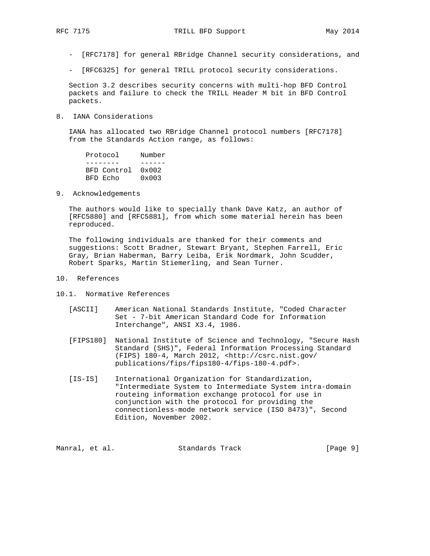- [RFC7178] for general RBridge Channel security considerations, and
- [RFC6325] for general TRILL protocol security considerations.

 Section 3.2 describes security concerns with multi-hop BFD Control packets and failure to check the TRILL Header M bit in BFD Control packets.

8. IANA Considerations

 IANA has allocated two RBridge Channel protocol numbers [RFC7178] from the Standards Action range, as follows:

 Protocol Number -------- ------ BFD Control 0x002 BFD Echo 0x003

9. Acknowledgements

 The authors would like to specially thank Dave Katz, an author of [RFC5880] and [RFC5881], from which some material herein has been reproduced.

 The following individuals are thanked for their comments and suggestions: Scott Bradner, Stewart Bryant, Stephen Farrell, Eric Gray, Brian Haberman, Barry Leiba, Erik Nordmark, John Scudder, Robert Sparks, Martin Stiemerling, and Sean Turner.

- 10. References
- 10.1. Normative References
	- [ASCII] American National Standards Institute, "Coded Character Set - 7-bit American Standard Code for Information Interchange", ANSI X3.4, 1986.
	- [FIPS180] National Institute of Science and Technology, "Secure Hash Standard (SHS)", Federal Information Processing Standard (FIPS) 180-4, March 2012, <http://csrc.nist.gov/ publications/fips/fips180-4/fips-180-4.pdf>.
	- [IS-IS] International Organization for Standardization, "Intermediate System to Intermediate System intra-domain routeing information exchange protocol for use in conjunction with the protocol for providing the connectionless-mode network service (ISO 8473)", Second Edition, November 2002.

Manral, et al. Standards Track [Page 9]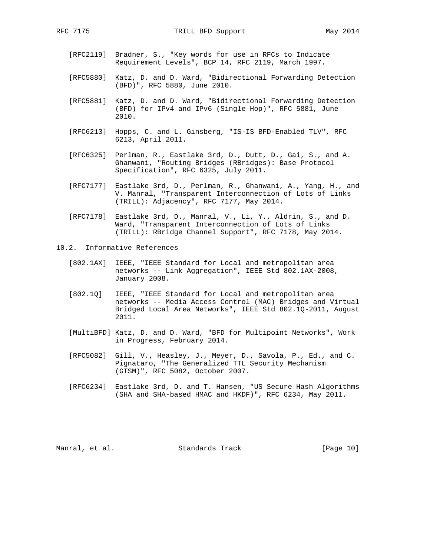- [RFC2119] Bradner, S., "Key words for use in RFCs to Indicate Requirement Levels", BCP 14, RFC 2119, March 1997.
- [RFC5880] Katz, D. and D. Ward, "Bidirectional Forwarding Detection (BFD)", RFC 5880, June 2010.
- [RFC5881] Katz, D. and D. Ward, "Bidirectional Forwarding Detection (BFD) for IPv4 and IPv6 (Single Hop)", RFC 5881, June 2010.
- [RFC6213] Hopps, C. and L. Ginsberg, "IS-IS BFD-Enabled TLV", RFC 6213, April 2011.
- [RFC6325] Perlman, R., Eastlake 3rd, D., Dutt, D., Gai, S., and A. Ghanwani, "Routing Bridges (RBridges): Base Protocol Specification", RFC 6325, July 2011.
- [RFC7177] Eastlake 3rd, D., Perlman, R., Ghanwani, A., Yang, H., and V. Manral, "Transparent Interconnection of Lots of Links (TRILL): Adjacency", RFC 7177, May 2014.
- [RFC7178] Eastlake 3rd, D., Manral, V., Li, Y., Aldrin, S., and D. Ward, "Transparent Interconnection of Lots of Links (TRILL): RBridge Channel Support", RFC 7178, May 2014.
- 10.2. Informative References
	- [802.1AX] IEEE, "IEEE Standard for Local and metropolitan area networks -- Link Aggregation", IEEE Std 802.1AX-2008, January 2008.
	- [802.1Q] IEEE, "IEEE Standard for Local and metropolitan area networks -- Media Access Control (MAC) Bridges and Virtual Bridged Local Area Networks", IEEE Std 802.1Q-2011, August 2011.
	- [MultiBFD] Katz, D. and D. Ward, "BFD for Multipoint Networks", Work in Progress, February 2014.
	- [RFC5082] Gill, V., Heasley, J., Meyer, D., Savola, P., Ed., and C. Pignataro, "The Generalized TTL Security Mechanism (GTSM)", RFC 5082, October 2007.
	- [RFC6234] Eastlake 3rd, D. and T. Hansen, "US Secure Hash Algorithms (SHA and SHA-based HMAC and HKDF)", RFC 6234, May 2011.

Manral, et al. Standards Track [Page 10]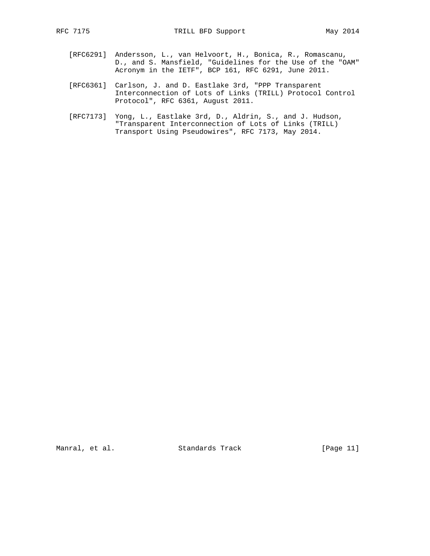- [RFC6291] Andersson, L., van Helvoort, H., Bonica, R., Romascanu, D., and S. Mansfield, "Guidelines for the Use of the "OAM" Acronym in the IETF", BCP 161, RFC 6291, June 2011.
	- [RFC6361] Carlson, J. and D. Eastlake 3rd, "PPP Transparent Interconnection of Lots of Links (TRILL) Protocol Control Protocol", RFC 6361, August 2011.
	- [RFC7173] Yong, L., Eastlake 3rd, D., Aldrin, S., and J. Hudson, "Transparent Interconnection of Lots of Links (TRILL) Transport Using Pseudowires", RFC 7173, May 2014.